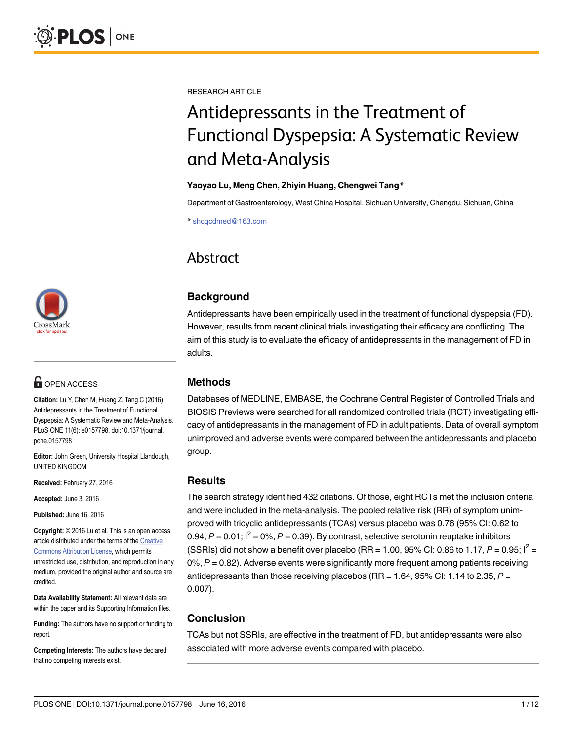

# **G** OPEN ACCESS

Citation: Lu Y, Chen M, Huang Z, Tang C (2016) Antidepressants in the Treatment of Functional Dyspepsia: A Systematic Review and Meta-Analysis. PLoS ONE 11(6): e0157798. doi:10.1371/journal. pone.0157798

Editor: John Green, University Hospital Llandough, UNITED KINGDOM

Received: February 27, 2016

Accepted: June 3, 2016

Published: June 16, 2016

Copyright: © 2016 Lu et al. This is an open access article distributed under the terms of the [Creative](http://creativecommons.org/licenses/by/4.0/) [Commons Attribution License](http://creativecommons.org/licenses/by/4.0/), which permits unrestricted use, distribution, and reproduction in any medium, provided the original author and source are credited.

Data Availability Statement: All relevant data are within the paper and its Supporting Information files.

Funding: The authors have no support or funding to report.

Competing Interests: The authors have declared that no competing interests exist.

RESEARCH ARTICLE

# Antidepressants in the Treatment of Functional Dyspepsia: A Systematic Review and Meta-Analysis

#### Yaoyao Lu, Meng Chen, Zhiyin Huang, Chengwei Tang\*

Department of Gastroenterology, West China Hospital, Sichuan University, Chengdu, Sichuan, China

\* shcqcdmed@163.com

# Abstract

# Background

Antidepressants have been empirically used in the treatment of functional dyspepsia (FD). However, results from recent clinical trials investigating their efficacy are conflicting. The aim of this study is to evaluate the efficacy of antidepressants in the management of FD in adults.

# Methods

Databases of MEDLINE, EMBASE, the Cochrane Central Register of Controlled Trials and BIOSIS Previews were searched for all randomized controlled trials (RCT) investigating efficacy of antidepressants in the management of FD in adult patients. Data of overall symptom unimproved and adverse events were compared between the antidepressants and placebo group.

#### **Results**

The search strategy identified 432 citations. Of those, eight RCTs met the inclusion criteria and were included in the meta-analysis. The pooled relative risk (RR) of symptom unimproved with tricyclic antidepressants (TCAs) versus placebo was 0.76 (95% CI: 0.62 to 0.94,  $P = 0.01$ ;  $I^2 = 0\%$ ,  $P = 0.39$ ). By contrast, selective serotonin reuptake inhibitors (SSRIs) did not show a benefit over placebo (RR = 1.00, 95% CI: 0.86 to 1.17,  $P = 0.95$ ;  $I^2 =$  $0\%$ ,  $P = 0.82$ ). Adverse events were significantly more frequent among patients receiving antidepressants than those receiving placebos (RR = 1.64, 95% CI: 1.14 to 2.35,  $P =$ 0.007).

## **Conclusion**

TCAs but not SSRIs, are effective in the treatment of FD, but antidepressants were also associated with more adverse events compared with placebo.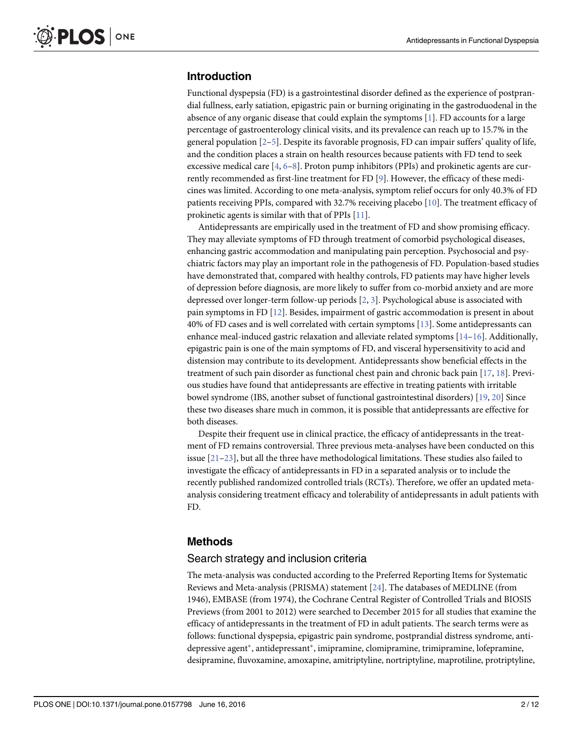## <span id="page-1-0"></span>Introduction

Functional dyspepsia (FD) is a gastrointestinal disorder defined as the experience of postprandial fullness, early satiation, epigastric pain or burning originating in the gastroduodenal in the absence of any organic disease that could explain the symptoms  $[1]$ . FD accounts for a large percentage of gastroenterology clinical visits, and its prevalence can reach up to 15.7% in the general population  $[2-5]$  $[2-5]$  $[2-5]$  $[2-5]$ . Despite its favorable prognosis, FD can impair suffers' quality of life, and the condition places a strain on health resources because patients with FD tend to seek excessive medical care  $[4, 6-8]$  $[4, 6-8]$  $[4, 6-8]$  $[4, 6-8]$  $[4, 6-8]$  $[4, 6-8]$ . Proton pump inhibitors (PPIs) and prokinetic agents are currently recommended as first-line treatment for FD [[9\]](#page-9-0). However, the efficacy of these medicines was limited. According to one meta-analysis, symptom relief occurs for only 40.3% of FD patients receiving PPIs, compared with 32.7% receiving placebo [\[10\]](#page-9-0). The treatment efficacy of prokinetic agents is similar with that of PPIs  $[11]$  $[11]$ .

Antidepressants are empirically used in the treatment of FD and show promising efficacy. They may alleviate symptoms of FD through treatment of comorbid psychological diseases, enhancing gastric accommodation and manipulating pain perception. Psychosocial and psychiatric factors may play an important role in the pathogenesis of FD. Population-based studies have demonstrated that, compared with healthy controls, FD patients may have higher levels of depression before diagnosis, are more likely to suffer from co-morbid anxiety and are more depressed over longer-term follow-up periods [\[2,](#page-8-0) [3\]](#page-9-0). Psychological abuse is associated with pain symptoms in FD [[12](#page-9-0)]. Besides, impairment of gastric accommodation is present in about 40% of FD cases and is well correlated with certain symptoms [[13](#page-9-0)]. Some antidepressants can enhance meal-induced gastric relaxation and alleviate related symptoms  $[14-16]$  $[14-16]$  $[14-16]$  $[14-16]$ . Additionally, epigastric pain is one of the main symptoms of FD, and visceral hypersensitivity to acid and distension may contribute to its development. Antidepressants show beneficial effects in the treatment of such pain disorder as functional chest pain and chronic back pain [\[17,](#page-9-0) [18\]](#page-9-0). Previous studies have found that antidepressants are effective in treating patients with irritable bowel syndrome (IBS, another subset of functional gastrointestinal disorders) [[19](#page-9-0), [20](#page-9-0)] Since these two diseases share much in common, it is possible that antidepressants are effective for both diseases.

Despite their frequent use in clinical practice, the efficacy of antidepressants in the treatment of FD remains controversial. Three previous meta-analyses have been conducted on this issue  $[21-23]$  $[21-23]$  $[21-23]$  $[21-23]$  $[21-23]$ , but all the three have methodological limitations. These studies also failed to investigate the efficacy of antidepressants in FD in a separated analysis or to include the recently published randomized controlled trials (RCTs). Therefore, we offer an updated metaanalysis considering treatment efficacy and tolerability of antidepressants in adult patients with FD.

#### Methods

#### Search strategy and inclusion criteria

The meta-analysis was conducted according to the Preferred Reporting Items for Systematic Reviews and Meta-analysis (PRISMA) statement [\[24\]](#page-10-0). The databases of MEDLINE (from 1946), EMBASE (from 1974), the Cochrane Central Register of Controlled Trials and BIOSIS Previews (from 2001 to 2012) were searched to December 2015 for all studies that examine the efficacy of antidepressants in the treatment of FD in adult patients. The search terms were as follows: functional dyspepsia, epigastric pain syndrome, postprandial distress syndrome, antidepressive agent\*, antidepressant\*, imipramine, clomipramine, trimipramine, lofepramine, desipramine, fluvoxamine, amoxapine, amitriptyline, nortriptyline, maprotiline, protriptyline,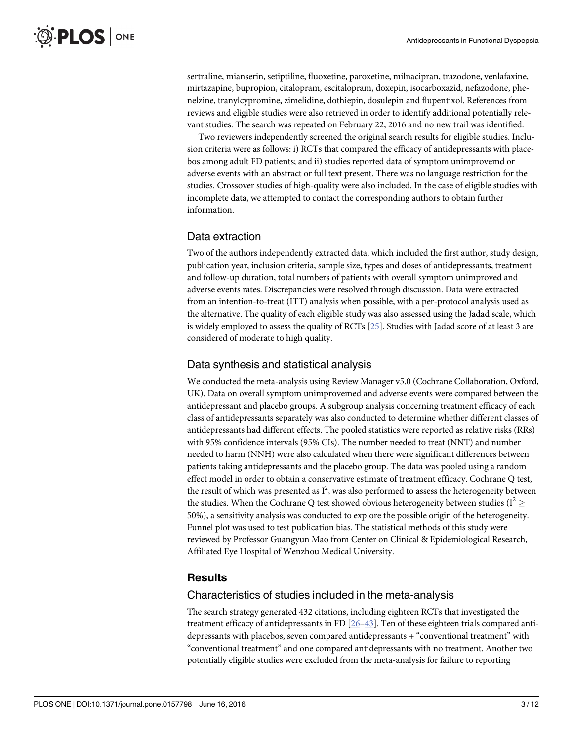<span id="page-2-0"></span>sertraline, mianserin, setiptiline, fluoxetine, paroxetine, milnacipran, trazodone, venlafaxine, mirtazapine, bupropion, citalopram, escitalopram, doxepin, isocarboxazid, nefazodone, phenelzine, tranylcypromine, zimelidine, dothiepin, dosulepin and flupentixol. References from reviews and eligible studies were also retrieved in order to identify additional potentially relevant studies. The search was repeated on February 22, 2016 and no new trail was identified.

Two reviewers independently screened the original search results for eligible studies. Inclusion criteria were as follows: i) RCTs that compared the efficacy of antidepressants with placebos among adult FD patients; and ii) studies reported data of symptom unimprovemd or adverse events with an abstract or full text present. There was no language restriction for the studies. Crossover studies of high-quality were also included. In the case of eligible studies with incomplete data, we attempted to contact the corresponding authors to obtain further information.

#### Data extraction

Two of the authors independently extracted data, which included the first author, study design, publication year, inclusion criteria, sample size, types and doses of antidepressants, treatment and follow-up duration, total numbers of patients with overall symptom unimproved and adverse events rates. Discrepancies were resolved through discussion. Data were extracted from an intention-to-treat (ITT) analysis when possible, with a per-protocol analysis used as the alternative. The quality of each eligible study was also assessed using the Jadad scale, which is widely employed to assess the quality of RCTs [[25\]](#page-10-0). Studies with Jadad score of at least 3 are considered of moderate to high quality.

#### Data synthesis and statistical analysis

We conducted the meta-analysis using Review Manager v5.0 (Cochrane Collaboration, Oxford, UK). Data on overall symptom unimprovemed and adverse events were compared between the antidepressant and placebo groups. A subgroup analysis concerning treatment efficacy of each class of antidepressants separately was also conducted to determine whether different classes of antidepressants had different effects. The pooled statistics were reported as relative risks (RRs) with 95% confidence intervals (95% CIs). The number needed to treat (NNT) and number needed to harm (NNH) were also calculated when there were significant differences between patients taking antidepressants and the placebo group. The data was pooled using a random effect model in order to obtain a conservative estimate of treatment efficacy. Cochrane Q test, the result of which was presented as  $I^2$ , was also performed to assess the heterogeneity between the studies. When the Cochrane Q test showed obvious heterogeneity between studies ( $I^2 \geq$ 50%), a sensitivity analysis was conducted to explore the possible origin of the heterogeneity. Funnel plot was used to test publication bias. The statistical methods of this study were reviewed by Professor Guangyun Mao from Center on Clinical & Epidemiological Research, Affiliated Eye Hospital of Wenzhou Medical University.

#### **Results**

#### Characteristics of studies included in the meta-analysis

The search strategy generated 432 citations, including eighteen RCTs that investigated the treatment efficacy of antidepressants in FD  $[26-43]$  $[26-43]$  $[26-43]$  $[26-43]$ . Ten of these eighteen trials compared antidepressants with placebos, seven compared antidepressants + "conventional treatment" with "conventional treatment" and one compared antidepressants with no treatment. Another two potentially eligible studies were excluded from the meta-analysis for failure to reporting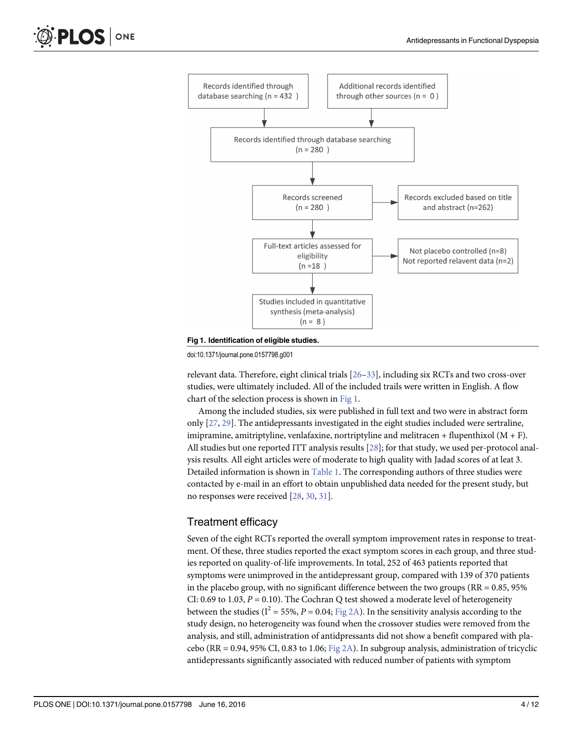<span id="page-3-0"></span>

Fig 1. Identification of eligible studies.

doi:10.1371/journal.pone.0157798.g001

relevant data. Therefore, eight clinical trials [[26](#page-10-0)–[33](#page-10-0)], including six RCTs and two cross-over studies, were ultimately included. All of the included trails were written in English. A flow chart of the selection process is shown in Fig 1.

Among the included studies, six were published in full text and two were in abstract form only [\[27,](#page-10-0) [29\]](#page-10-0). The antidepressants investigated in the eight studies included were sertraline, imipramine, amitriptyline, venlafaxine, nortriptyline and melitracen + flupenthixol  $(M + F)$ . All studies but one reported ITT analysis results [[28](#page-10-0)]; for that study, we used per-protocol analysis results. All eight articles were of moderate to high quality with Jadad scores of at leat 3. Detailed information is shown in [Table 1](#page-4-0). The corresponding authors of three studies were contacted by e-mail in an effort to obtain unpublished data needed for the present study, but no responses were received [[28](#page-10-0), [30](#page-10-0), [31](#page-10-0)].

## Treatment efficacy

Seven of the eight RCTs reported the overall symptom improvement rates in response to treatment. Of these, three studies reported the exact symptom scores in each group, and three studies reported on quality-of-life improvements. In total, 252 of 463 patients reported that symptoms were unimproved in the antidepressant group, compared with 139 of 370 patients in the placebo group, with no significant difference between the two groups ( $RR = 0.85$ , 95% CI: 0.69 to 1.03,  $P = 0.10$ ). The Cochran Q test showed a moderate level of heterogeneity between the studies ( $I^2 = 55\%$ ,  $P = 0.04$ ; [Fig 2A](#page-5-0)). In the sensitivity analysis according to the study design, no heterogeneity was found when the crossover studies were removed from the analysis, and still, administration of antidpressants did not show a benefit compared with pla-cebo (RR = 0.94, 95% CI, 0.83 to 1.06; [Fig 2A](#page-5-0)). In subgroup analysis, administration of tricyclic antidepressants significantly associated with reduced number of patients with symptom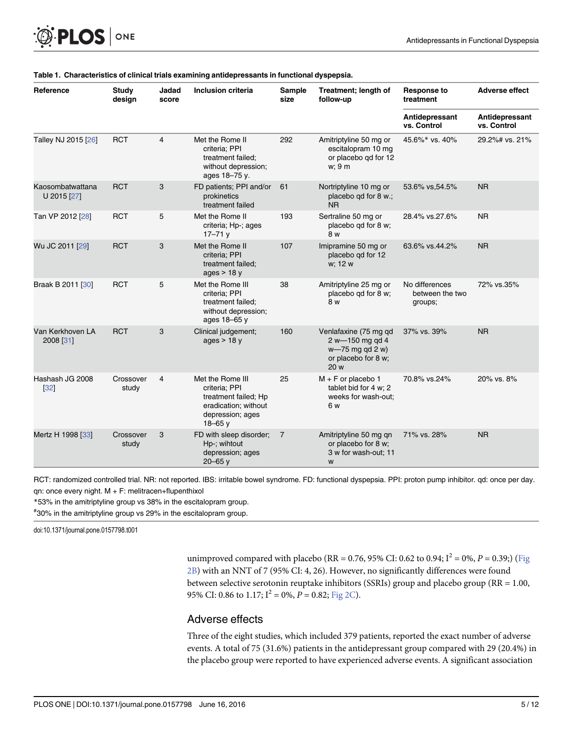<span id="page-4-0"></span>

| Reference                       | <b>Study</b><br>design | Jadad<br>score | <b>Inclusion criteria</b>                                                                                           | Sample<br>size | Treatment; length of<br>follow-up                                                             | <b>Response to</b><br>treatment              | <b>Adverse effect</b>         |
|---------------------------------|------------------------|----------------|---------------------------------------------------------------------------------------------------------------------|----------------|-----------------------------------------------------------------------------------------------|----------------------------------------------|-------------------------------|
|                                 |                        |                |                                                                                                                     |                |                                                                                               | Antidepressant<br>vs. Control                | Antidepressant<br>vs. Control |
| Talley NJ 2015 [26]             | <b>RCT</b>             | $\overline{4}$ | Met the Rome II<br>criteria; PPI<br>treatment failed;<br>without depression;<br>ages 18-75 y.                       | 292            | Amitriptyline 50 mg or<br>escitalopram 10 mg<br>or placebo gd for 12<br>w; 9 m                | 45.6%* vs. 40%                               | 29.2%# vs. 21%                |
| Kaosombatwattana<br>U 2015 [27] | <b>RCT</b>             | 3              | FD patients; PPI and/or<br>prokinetics<br>treatment failed                                                          | 61             | Nortriptyline 10 mg or<br>placebo qd for 8 w.;<br><b>NR</b>                                   | 53.6% vs, 54.5%                              | <b>NR</b>                     |
| Tan VP 2012 [28]                | <b>RCT</b>             | 5              | Met the Rome II<br>criteria; Hp-; ages<br>$17 - 71y$                                                                | 193            | Sertraline 50 mg or<br>placebo gd for 8 w;<br>8 w                                             | 28.4% vs.27.6%                               | <b>NR</b>                     |
| Wu JC 2011 [29]                 | <b>RCT</b>             | 3              | Met the Rome II<br>criteria; PPI<br>treatment failed;<br>ages $> 18y$                                               | 107            | Imipramine 50 mg or<br>placebo gd for 12<br>w; 12 w                                           | 63.6% vs.44.2%                               | <b>NR</b>                     |
| Braak B 2011 [30]               | <b>RCT</b>             | 5              | Met the Rome III<br>criteria; PPI<br>treatment failed;<br>without depression;<br>ages 18-65 y                       | 38             | Amitriptyline 25 mg or<br>placebo gd for 8 w;<br>8 w                                          | No differences<br>between the two<br>groups; | 72% vs.35%                    |
| Van Kerkhoven LA<br>2008 [31]   | <b>RCT</b>             | 3              | Clinical judgement;<br>ages $> 18y$                                                                                 | 160            | Venlafaxine (75 mg qd<br>2 w-150 mg gd 4<br>$w$ –75 mg qd 2 w)<br>or placebo for 8 w;<br>20 w | 37% vs. 39%                                  | <b>NR</b>                     |
| Hashash JG 2008<br>$[32]$       | Crossover<br>study     | 4              | Met the Rome III<br>criteria; PPI<br>treatment failed; Hp<br>eradication; without<br>depression; ages<br>$18 - 65y$ | 25             | $M + F$ or placebo 1<br>tablet bid for 4 w; 2<br>weeks for wash-out;<br>6 w                   | 70.8% vs.24%                                 | 20% vs. 8%                    |
| Mertz H 1998 [33]               | Crossover<br>study     | 3              | FD with sleep disorder;<br>Hp-; wihtout<br>depression; ages<br>$20 - 65$ y                                          | 7              | Amitriptyline 50 mg qn<br>or placebo for 8 w;<br>3 w for wash-out; 11<br>W                    | 71% vs. 28%                                  | <b>NR</b>                     |

#### [Table 1.](#page-3-0) Characteristics of clinical trials examining antidepressants in functional dyspepsia.

RCT: randomized controlled trial. NR: not reported. IBS: irritable bowel syndrome. FD: functional dyspepsia. PPI: proton pump inhibitor. qd: once per day. qn: once every night.  $M + F$ : melitracen+flupenthixol

\*53% in the amitriptyline group vs 38% in the escitalopram group.

# 30% in the amitriptyline group vs 29% in the escitalopram group.

doi:10.1371/journal.pone.0157798.t001

unimproved compared with placebo (RR = 0.76, 95% CI: 0.62 to 0.94;  $I^2 = 0\%$ ,  $P = 0.39$ ;) ([Fig](#page-5-0) [2B\)](#page-5-0) with an NNT of 7 (95% CI: 4, 26). However, no significantly differences were found between selective serotonin reuptake inhibitors (SSRIs) group and placebo group (RR = 1.00, 95% CI: 0.86 to 1.17;  $I^2 = 0$ %,  $P = 0.82$ ; [Fig 2C\)](#page-5-0).

#### Adverse effects

Three of the eight studies, which included 379 patients, reported the exact number of adverse events. A total of 75 (31.6%) patients in the antidepressant group compared with 29 (20.4%) in the placebo group were reported to have experienced adverse events. A significant association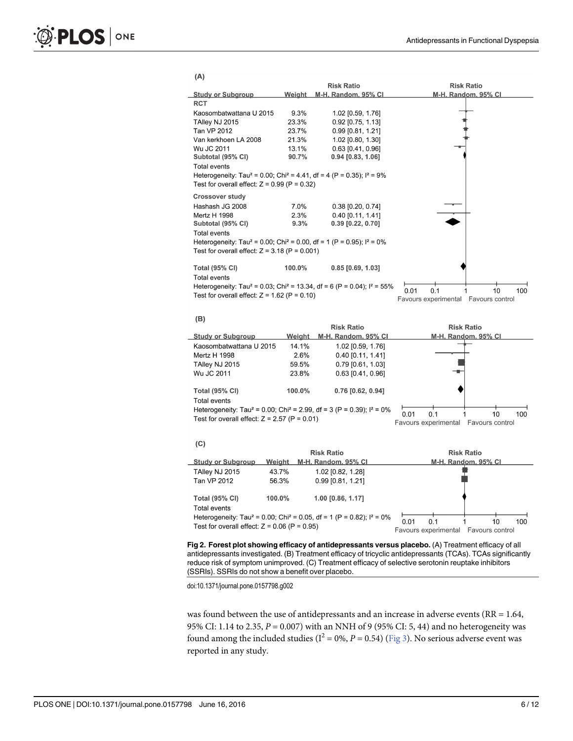<span id="page-5-0"></span>

| (A)                                                                                                     |         |                        |                                      |
|---------------------------------------------------------------------------------------------------------|---------|------------------------|--------------------------------------|
|                                                                                                         |         | <b>Risk Ratio</b>      | <b>Risk Ratio</b>                    |
| <b>Study or Subgroup</b>                                                                                | Weight  | M-H, Random, 95% Cl    | M-H, Random, 95% CI                  |
| <b>RCT</b>                                                                                              |         |                        |                                      |
| Kaosombatwattana U 2015                                                                                 | 9.3%    | 1.02 [0.59, 1.76]      |                                      |
| TAlley NJ 2015                                                                                          | 23.3%   | $0.92$ [0.75, 1.13]    |                                      |
| Tan VP 2012                                                                                             | 23.7%   | 0.99 [0.81, 1.21]      |                                      |
| Van kerkhoen LA 2008                                                                                    | 21.3%   | 1.02 [0.80, 1.30]      |                                      |
| Wu JC 2011                                                                                              | 13.1%   | 0.63 [0.41, 0.96]      |                                      |
| Subtotal (95% CI)                                                                                       | 90.7%   | 0.94 [0.83, 1.06]      |                                      |
| <b>Total events</b>                                                                                     |         |                        |                                      |
| Heterogeneity: Tau <sup>2</sup> = 0.00; Chi <sup>2</sup> = 4.41, df = 4 (P = 0.35); $I^2$ = 9%          |         |                        |                                      |
| Test for overall effect: $Z = 0.99$ (P = 0.32)                                                          |         |                        |                                      |
| <b>Crossover study</b>                                                                                  |         |                        |                                      |
| Hashash JG 2008                                                                                         | 7.0%    | 0.38 [0.20, 0.74]      |                                      |
| Mertz H 1998                                                                                            | 2.3%    | 0.40 [0.11, 1.41]      |                                      |
| Subtotal (95% CI)                                                                                       | 9.3%    | $0.39$ [0.22, 0.70]    |                                      |
| <b>Total events</b>                                                                                     |         |                        |                                      |
| Heterogeneity: Tau <sup>2</sup> = 0.00; Chi <sup>2</sup> = 0.00, df = 1 (P = 0.95); l <sup>2</sup> = 0% |         |                        |                                      |
| Test for overall effect: $Z = 3.18$ (P = 0.001)                                                         |         |                        |                                      |
|                                                                                                         |         |                        |                                      |
| <b>Total (95% CI)</b>                                                                                   | 100.0%  | $0.85$ $[0.69, 1.03]$  |                                      |
| <b>Total events</b>                                                                                     |         |                        |                                      |
| Heterogeneity: Tau <sup>2</sup> = 0.03; Chi <sup>2</sup> = 13.34, df = 6 (P = 0.04); $I^2$ = 55%        |         |                        |                                      |
| Test for overall effect: $Z = 1.62$ (P = 0.10)                                                          |         |                        | 0.01<br>0.1<br>10<br>100             |
|                                                                                                         |         |                        | Favours experimental Favours control |
|                                                                                                         |         |                        |                                      |
| (B)                                                                                                     |         |                        |                                      |
|                                                                                                         |         | <b>Risk Ratio</b>      | <b>Risk Ratio</b>                    |
| <b>Study or Subgroup</b>                                                                                | Weight  | M-H, Random, 95% CI    | M-H, Random, 95% CI                  |
| Kaosombatwattana U 2015                                                                                 | 14.1%   | 1.02 [0.59, 1.76]      |                                      |
| <b>Mertz H 1998</b>                                                                                     | 2.6%    | 0.40 [0.11, 1.41]      |                                      |
| $T$ $\wedge$ $H_{\alpha}$ , $\wedge$ $H$ $I$ $\wedge$ $\wedge$ $H$ $F$                                  | E O E 0 | $0.70$ IQ $0.4$ $0.03$ |                                      |

| Kaosombatwattana U 2015                                                                         | 14.1%                                | 1.02 [0.59, 1.76]   |     |  |  |
|-------------------------------------------------------------------------------------------------|--------------------------------------|---------------------|-----|--|--|
| Mertz H 1998                                                                                    | 2.6%                                 | $0.40$ [0.11, 1.41] |     |  |  |
| TAlley NJ 2015                                                                                  | 59.5%                                | 0.79 [0.61, 1.03]   |     |  |  |
| Wu JC 2011                                                                                      | 23.8%                                | $0.63$ [0.41, 0.96] |     |  |  |
| <b>Total (95% CI)</b>                                                                           | 100.0%                               | $0.76$ [0.62, 0.94] |     |  |  |
| Total events                                                                                    |                                      |                     |     |  |  |
| Heterogeneity: Tau <sup>2</sup> = 0.00; Chi <sup>2</sup> = 2.99, df = 3 (P = 0.39); $I^2 = 0\%$ | 0.01<br>0.1                          | 10                  | 100 |  |  |
| Test for overall effect: $Z = 2.57$ (P = 0.01)                                                  | Favours experimental Favours control |                     |     |  |  |
|                                                                                                 |                                      |                     |     |  |  |

| (C)                                                                                                                                              |        |                     |                                                                  |  |  |  |
|--------------------------------------------------------------------------------------------------------------------------------------------------|--------|---------------------|------------------------------------------------------------------|--|--|--|
|                                                                                                                                                  |        | <b>Risk Ratio</b>   | <b>Risk Ratio</b>                                                |  |  |  |
| <b>Study or Subgroup</b>                                                                                                                         | Weight | M-H. Random, 95% CI | M-H, Random, 95% CI                                              |  |  |  |
| TAlley NJ 2015                                                                                                                                   | 43.7%  | 1.02 [0.82, 1.28]   |                                                                  |  |  |  |
| Tan VP 2012                                                                                                                                      | 56.3%  | 0.99 [0.81, 1.21]   |                                                                  |  |  |  |
| <b>Total (95% CI)</b><br>Total events                                                                                                            | 100.0% | 1.00 [0.86, 1.17]   |                                                                  |  |  |  |
| Heterogeneity: Tau <sup>2</sup> = 0.00; Chi <sup>2</sup> = 0.05, df = 1 (P = 0.82); $1^2$ = 0%<br>Test for overall effect: $Z = 0.06$ (P = 0.95) |        |                     | 0.01<br>100<br>0.1<br>10<br>Favours experimental Favours control |  |  |  |

[Fig 2. F](#page-3-0)orest plot showing efficacy of antidepressants versus placebo. (A) Treatment efficacy of all antidepressants investigated. (B) Treatment efficacy of tricyclic antidepressants (TCAs). TCAs significantly reduce risk of symptom unimproved. (C) Treatment efficacy of selective serotonin reuptake inhibitors (SSRIs). SSRIs do not show a benefit over placebo.

doi:10.1371/journal.pone.0157798.g002

was found between the use of antidepressants and an increase in adverse events (RR = 1.64, 95% CI: 1.14 to 2.35, P = 0.007) with an NNH of 9 (95% CI: 5, 44) and no heterogeneity was found among the included studies ( $I^2 = 0\%$ ,  $P = 0.54$ ) [\(Fig 3\)](#page-6-0). No serious adverse event was reported in any study.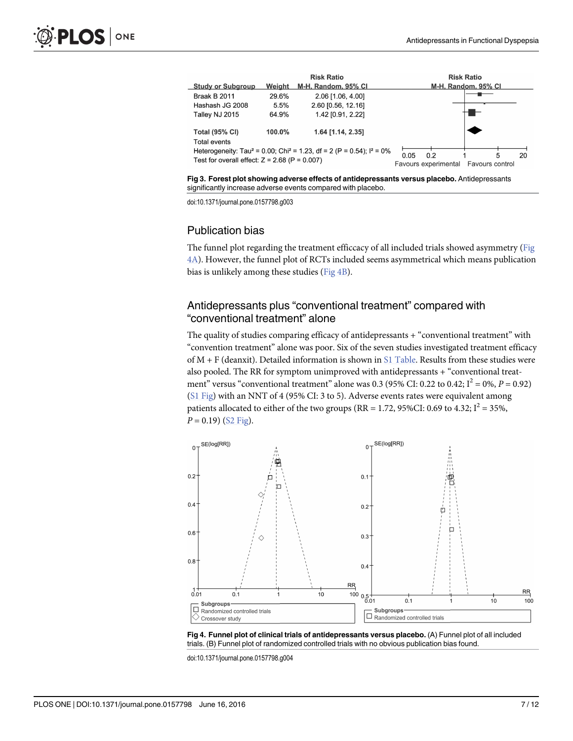<span id="page-6-0"></span>

|                                                                                                                                                                          |        | <b>Risk Ratio</b>                                   | <b>Risk Ratio</b> |                     |  |  |
|--------------------------------------------------------------------------------------------------------------------------------------------------------------------------|--------|-----------------------------------------------------|-------------------|---------------------|--|--|
| <b>Study or Subgroup</b>                                                                                                                                                 | Weight | M-H, Random, 95% CI                                 |                   | M-H, Random, 95% CI |  |  |
| <b>Braak B 2011</b>                                                                                                                                                      | 29.6%  | 2.06 [1.06, 4.00]                                   |                   |                     |  |  |
| Hashash JG 2008                                                                                                                                                          | 5.5%   | 2.60 [0.56, 12.16]                                  |                   |                     |  |  |
| Talley NJ 2015                                                                                                                                                           | 64.9%  | 1.42 [0.91, 2.22]                                   |                   |                     |  |  |
| <b>Total (95% CI)</b>                                                                                                                                                    | 100.0% | 1.64 [1.14, 2.35]                                   |                   |                     |  |  |
| <b>Total events</b><br>Heterogeneity: Tau <sup>2</sup> = 0.00; Chi <sup>2</sup> = 1.23, df = 2 (P = 0.54); $1^2$ = 0%<br>Test for overall effect: $Z = 2.68$ (P = 0.007) |        | 0.05<br>0.2<br>Favours experimental Favours control | 20<br>5           |                     |  |  |



doi:10.1371/journal.pone.0157798.g003

#### Publication bias

The funnel plot regarding the treatment efficcacy of all included trials showed asymmetry (Fig 4A). However, the funnel plot of RCTs included seems asymmetrical which means publication bias is unlikely among these studies (Fig 4B).

### Antidepressants plus "conventional treatment" compared with "conventional treatment" alone

The quality of studies comparing efficacy of antidepressants + "conventional treatment" with "convention treatment" alone was poor. Six of the seven studies investigated treatment efficacy of  $M + F$  (deanxit). Detailed information is shown in [S1 Table](#page-8-0). Results from these studies were also pooled. The RR for symptom unimproved with antidepressants + "conventional treatment" versus "conventional treatment" alone was 0.3 (95% CI: 0.22 to 0.42;  $I^2 = 0$ %,  $P = 0.92$ ) [\(S1 Fig\)](#page-8-0) with an NNT of 4 (95% CI: 3 to 5). Adverse events rates were equivalent among patients allocated to either of the two groups (RR = 1.72, 95%CI: 0.69 to 4.32;  $I^2 = 35$ %,  $P = 0.19$  (S<sub>2</sub> Fig).





doi:10.1371/journal.pone.0157798.g004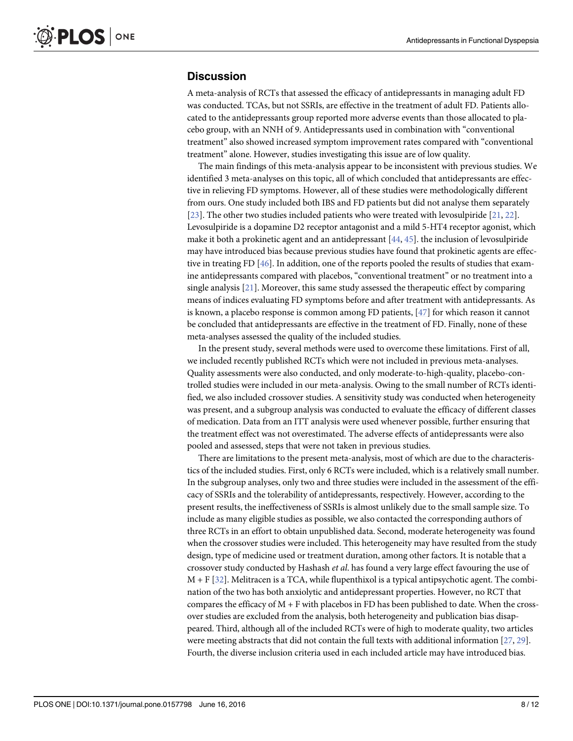# <span id="page-7-0"></span>**Discussion**

A meta-analysis of RCTs that assessed the efficacy of antidepressants in managing adult FD was conducted. TCAs, but not SSRIs, are effective in the treatment of adult FD. Patients allocated to the antidepressants group reported more adverse events than those allocated to placebo group, with an NNH of 9. Antidepressants used in combination with "conventional treatment" also showed increased symptom improvement rates compared with "conventional treatment" alone. However, studies investigating this issue are of low quality.

The main findings of this meta-analysis appear to be inconsistent with previous studies. We identified 3 meta-analyses on this topic, all of which concluded that antidepressants are effective in relieving FD symptoms. However, all of these studies were methodologically different from ours. One study included both IBS and FD patients but did not analyse them separately [\[23](#page-10-0)]. The other two studies included patients who were treated with levosulpiride [[21,](#page-9-0) [22\]](#page-9-0). Levosulpiride is a dopamine D2 receptor antagonist and a mild 5-HT4 receptor agonist, which make it both a prokinetic agent and an antidepressant [\[44,](#page-11-0) [45\]](#page-11-0). the inclusion of levosulpiride may have introduced bias because previous studies have found that prokinetic agents are effective in treating FD [[46\]](#page-11-0). In addition, one of the reports pooled the results of studies that examine antidepressants compared with placebos, "conventional treatment" or no treatment into a single analysis [[21\]](#page-9-0). Moreover, this same study assessed the therapeutic effect by comparing means of indices evaluating FD symptoms before and after treatment with antidepressants. As is known, a placebo response is common among FD patients, [[47\]](#page-11-0) for which reason it cannot be concluded that antidepressants are effective in the treatment of FD. Finally, none of these meta-analyses assessed the quality of the included studies.

In the present study, several methods were used to overcome these limitations. First of all, we included recently published RCTs which were not included in previous meta-analyses. Quality assessments were also conducted, and only moderate-to-high-quality, placebo-controlled studies were included in our meta-analysis. Owing to the small number of RCTs identified, we also included crossover studies. A sensitivity study was conducted when heterogeneity was present, and a subgroup analysis was conducted to evaluate the efficacy of different classes of medication. Data from an ITT analysis were used whenever possible, further ensuring that the treatment effect was not overestimated. The adverse effects of antidepressants were also pooled and assessed, steps that were not taken in previous studies.

There are limitations to the present meta-analysis, most of which are due to the characteristics of the included studies. First, only 6 RCTs were included, which is a relatively small number. In the subgroup analyses, only two and three studies were included in the assessment of the efficacy of SSRIs and the tolerability of antidepressants, respectively. However, according to the present results, the ineffectiveness of SSRIs is almost unlikely due to the small sample size. To include as many eligible studies as possible, we also contacted the corresponding authors of three RCTs in an effort to obtain unpublished data. Second, moderate heterogeneity was found when the crossover studies were included. This heterogeneity may have resulted from the study design, type of medicine used or treatment duration, among other factors. It is notable that a crossover study conducted by Hashash *et al.* has found a very large effect favouring the use of  $M + F[32]$  $M + F[32]$  $M + F[32]$ . Melitracen is a TCA, while flupenthixol is a typical antipsychotic agent. The combination of the two has both anxiolytic and antidepressant properties. However, no RCT that compares the efficacy of  $M + F$  with placebos in FD has been published to date. When the crossover studies are excluded from the analysis, both heterogeneity and publication bias disappeared. Third, although all of the included RCTs were of high to moderate quality, two articles were meeting abstracts that did not contain the full texts with additional information [\[27,](#page-10-0) [29\]](#page-10-0). Fourth, the diverse inclusion criteria used in each included article may have introduced bias.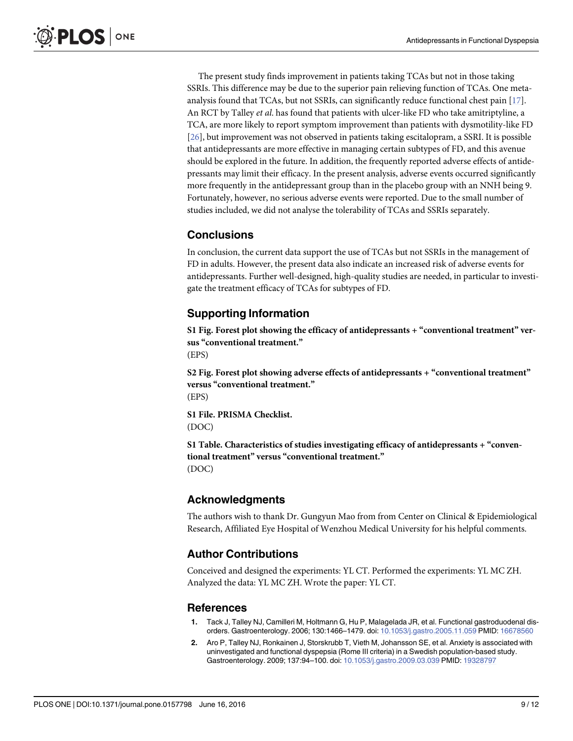<span id="page-8-0"></span>The present study finds improvement in patients taking TCAs but not in those taking SSRIs. This difference may be due to the superior pain relieving function of TCAs. One metaanalysis found that TCAs, but not SSRIs, can significantly reduce functional chest pain  $[17]$ . An RCT by Talley et al. has found that patients with ulcer-like FD who take amitriptyline, a TCA, are more likely to report symptom improvement than patients with dysmotility-like FD [\[26](#page-10-0)], but improvement was not observed in patients taking escitalopram, a SSRI. It is possible that antidepressants are more effective in managing certain subtypes of FD, and this avenue should be explored in the future. In addition, the frequently reported adverse effects of antidepressants may limit their efficacy. In the present analysis, adverse events occurred significantly more frequently in the antidepressant group than in the placebo group with an NNH being 9. Fortunately, however, no serious adverse events were reported. Due to the small number of studies included, we did not analyse the tolerability of TCAs and SSRIs separately.

# **Conclusions**

In conclusion, the current data support the use of TCAs but not SSRIs in the management of FD in adults. However, the present data also indicate an increased risk of adverse events for antidepressants. Further well-designed, high-quality studies are needed, in particular to investigate the treatment efficacy of TCAs for subtypes of FD.

# Supporting Information

[S1 Fig.](http://www.plosone.org/article/fetchSingleRepresentation.action?uri=info:doi/10.1371/journal.pone.0157798.s001) Forest plot showing the efficacy of antidepressants + "conventional treatment" versus "conventional treatment." (EPS)

[S2 Fig.](http://www.plosone.org/article/fetchSingleRepresentation.action?uri=info:doi/10.1371/journal.pone.0157798.s002) Forest plot showing adverse effects of antidepressants + "conventional treatment" versus "conventional treatment." (EPS)

[S1 File.](http://www.plosone.org/article/fetchSingleRepresentation.action?uri=info:doi/10.1371/journal.pone.0157798.s003) PRISMA Checklist. (DOC)

[S1 Table](http://www.plosone.org/article/fetchSingleRepresentation.action?uri=info:doi/10.1371/journal.pone.0157798.s004). Characteristics of studies investigating efficacy of antidepressants + "conventional treatment" versus "conventional treatment." (DOC)

# Acknowledgments

The authors wish to thank Dr. Gungyun Mao from from Center on Clinical & Epidemiological Research, Affiliated Eye Hospital of Wenzhou Medical University for his helpful comments.

# Author Contributions

Conceived and designed the experiments: YL CT. Performed the experiments: YL MC ZH. Analyzed the data: YL MC ZH. Wrote the paper: YL CT.

# References

- [1.](#page-1-0) Tack J, Talley NJ, Camilleri M, Holtmann G, Hu P, Malagelada JR, et al. Functional gastroduodenal disorders. Gastroenterology. 2006; 130:1466–1479. doi: [10.1053/j.gastro.2005.11.059](http://dx.doi.org/10.1053/j.gastro.2005.11.059) PMID: [16678560](http://www.ncbi.nlm.nih.gov/pubmed/16678560)
- [2.](#page-1-0) Aro P, Talley NJ, Ronkainen J, Storskrubb T, Vieth M, Johansson SE, et al. Anxiety is associated with uninvestigated and functional dyspepsia (Rome III criteria) in a Swedish population-based study. Gastroenterology. 2009; 137:94–100. doi: [10.1053/j.gastro.2009.03.039](http://dx.doi.org/10.1053/j.gastro.2009.03.039) PMID: [19328797](http://www.ncbi.nlm.nih.gov/pubmed/19328797)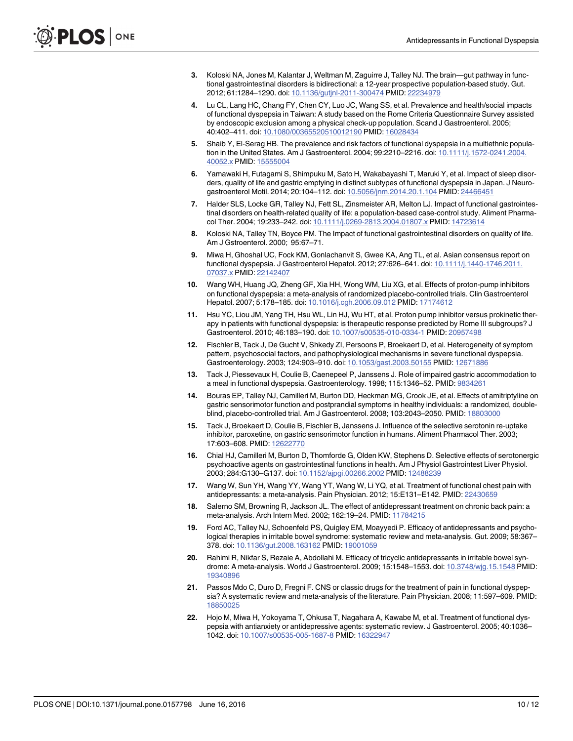- <span id="page-9-0"></span>[3.](#page-1-0) Koloski NA, Jones M, Kalantar J, Weltman M, Zaguirre J, Talley NJ. The brain—gut pathway in functional gastrointestinal disorders is bidirectional: a 12-year prospective population-based study. Gut. 2012; 61:1284–1290. doi: [10.1136/gutjnl-2011-300474](http://dx.doi.org/10.1136/gutjnl-2011-300474) PMID: [22234979](http://www.ncbi.nlm.nih.gov/pubmed/22234979)
- [4.](#page-1-0) Lu CL, Lang HC, Chang FY, Chen CY, Luo JC, Wang SS, et al. Prevalence and health/social impacts of functional dyspepsia in Taiwan: A study based on the Rome Criteria Questionnaire Survey assisted by endoscopic exclusion among a physical check-up population. Scand J Gastroenterol. 2005; 40:402–411. doi: [10.1080/00365520510012190](http://dx.doi.org/10.1080/00365520510012190) PMID: [16028434](http://www.ncbi.nlm.nih.gov/pubmed/16028434)
- [5.](#page-1-0) Shaib Y, El-Serag HB. The prevalence and risk factors of functional dyspepsia in a multiethnic population in the United States. Am J Gastroenterol. 2004; 99:2210–2216. doi: [10.1111/j.1572-0241.2004.](http://dx.doi.org/10.1111/j.1572-0241.2004.40052.x) [40052.x](http://dx.doi.org/10.1111/j.1572-0241.2004.40052.x) PMID: [15555004](http://www.ncbi.nlm.nih.gov/pubmed/15555004)
- [6.](#page-1-0) Yamawaki H, Futagami S, Shimpuku M, Sato H, Wakabayashi T, Maruki Y, et al. Impact of sleep disorders, quality of life and gastric emptying in distinct subtypes of functional dyspepsia in Japan. J Neurogastroenterol Motil. 2014; 20:104–112. doi: [10.5056/jnm.2014.20.1.104](http://dx.doi.org/10.5056/jnm.2014.20.1.104) PMID: [24466451](http://www.ncbi.nlm.nih.gov/pubmed/24466451)
- 7. Halder SLS, Locke GR, Talley NJ, Fett SL, Zinsmeister AR, Melton LJ. Impact of functional gastrointestinal disorders on health-related quality of life: a population-based case-control study. Aliment Pharmacol Ther. 2004; 19:233–242. doi: [10.1111/j.0269-2813.2004.01807.x](http://dx.doi.org/10.1111/j.0269-2813.2004.01807.x) PMID: [14723614](http://www.ncbi.nlm.nih.gov/pubmed/14723614)
- [8.](#page-1-0) Koloski NA, Talley TN, Boyce PM. The Impact of functional gastrointestinal disorders on quality of life. Am J Gstroenterol. 2000; 95:67–71.
- [9.](#page-1-0) Miwa H, Ghoshal UC, Fock KM, Gonlachanvit S, Gwee KA, Ang TL, et al. Asian consensus report on functional dyspepsia. J Gastroenterol Hepatol. 2012; 27:626–641. doi: [10.1111/j.1440-1746.2011.](http://dx.doi.org/10.1111/j.1440-1746.2011.07037.x) [07037.x](http://dx.doi.org/10.1111/j.1440-1746.2011.07037.x) PMID: [22142407](http://www.ncbi.nlm.nih.gov/pubmed/22142407)
- [10.](#page-1-0) Wang WH, Huang JQ, Zheng GF, Xia HH, Wong WM, Liu XG, et al. Effects of proton-pump inhibitors on functional dyspepsia: a meta-analysis of randomized placebo-controlled trials. Clin Gastroenterol Hepatol. 2007; 5:178–185. doi: [10.1016/j.cgh.2006.09.012](http://dx.doi.org/10.1016/j.cgh.2006.09.012) PMID: [17174612](http://www.ncbi.nlm.nih.gov/pubmed/17174612)
- [11.](#page-1-0) Hsu YC, Liou JM, Yang TH, Hsu WL, Lin HJ, Wu HT, et al. Proton pump inhibitor versus prokinetic therapy in patients with functional dyspepsia: is therapeutic response predicted by Rome III subgroups? J Gastroenterol. 2010; 46:183–190. doi: [10.1007/s00535-010-0334-1](http://dx.doi.org/10.1007/s00535-010-0334-1) PMID: [20957498](http://www.ncbi.nlm.nih.gov/pubmed/20957498)
- [12.](#page-1-0) Fischler B, Tack J, De Gucht V, Shkedy ZI, Persoons P, Broekaert D, et al. Heterogeneity of symptom pattern, psychosocial factors, and pathophysiological mechanisms in severe functional dyspepsia. Gastroenterology. 2003; 124:903–910. doi: [10.1053/gast.2003.50155](http://dx.doi.org/10.1053/gast.2003.50155) PMID: [12671886](http://www.ncbi.nlm.nih.gov/pubmed/12671886)
- [13.](#page-1-0) Tack J, Piessevaux H, Coulie B, Caenepeel P, Janssens J. Role of impaired gastric accommodation to a meal in functional dyspepsia. Gastroenterology. 1998; 115:1346–52. PMID: [9834261](http://www.ncbi.nlm.nih.gov/pubmed/9834261)
- [14.](#page-1-0) Bouras EP, Talley NJ, Camilleri M, Burton DD, Heckman MG, Crook JE, et al. Effects of amitriptyline on gastric sensorimotor function and postprandial symptoms in healthy individuals: a randomized, doubleblind, placebo-controlled trial. Am J Gastroenterol. 2008; 103:2043–2050. PMID: [18803000](http://www.ncbi.nlm.nih.gov/pubmed/18803000)
- 15. Tack J, Broekaert D, Coulie B, Fischler B, Janssens J. Influence of the selective serotonin re-uptake inhibitor, paroxetine, on gastric sensorimotor function in humans. Aliment Pharmacol Ther. 2003; 17:603-608. PMID: [12622770](http://www.ncbi.nlm.nih.gov/pubmed/12622770)
- [16.](#page-1-0) Chial HJ, Camilleri M, Burton D, Thomforde G, Olden KW, Stephens D. Selective effects of serotonergic psychoactive agents on gastrointestinal functions in health. Am J Physiol Gastrointest Liver Physiol. 2003; 284:G130–G137. doi: [10.1152/ajpgi.00266.2002](http://dx.doi.org/10.1152/ajpgi.00266.2002) PMID: [12488239](http://www.ncbi.nlm.nih.gov/pubmed/12488239)
- [17.](#page-1-0) Wang W, Sun YH, Wang YY, Wang YT, Wang W, Li YQ, et al. Treatment of functional chest pain with antidepressants: a meta-analysis. Pain Physician. 2012; 15:E131–E142. PMID: [22430659](http://www.ncbi.nlm.nih.gov/pubmed/22430659)
- [18.](#page-1-0) Salerno SM, Browning R, Jackson JL. The effect of antidepressant treatment on chronic back pain: a meta-analysis. Arch Intern Med. 2002; 162:19–24. PMID: [11784215](http://www.ncbi.nlm.nih.gov/pubmed/11784215)
- [19.](#page-1-0) Ford AC, Talley NJ, Schoenfeld PS, Quigley EM, Moayyedi P. Efficacy of antidepressants and psychological therapies in irritable bowel syndrome: systematic review and meta-analysis. Gut. 2009; 58:367– 378. doi: [10.1136/gut.2008.163162](http://dx.doi.org/10.1136/gut.2008.163162) PMID: [19001059](http://www.ncbi.nlm.nih.gov/pubmed/19001059)
- [20.](#page-1-0) Rahimi R, Nikfar S, Rezaie A, Abdollahi M. Efficacy of tricyclic antidepressants in irritable bowel syndrome: A meta-analysis. World J Gastroenterol. 2009; 15:1548–1553. doi: [10.3748/wjg.15.1548](http://dx.doi.org/10.3748/wjg.15.1548) PMID: [19340896](http://www.ncbi.nlm.nih.gov/pubmed/19340896)
- [21.](#page-1-0) Passos Mdo C, Duro D, Fregni F. CNS or classic drugs for the treatment of pain in functional dyspepsia? A systematic review and meta-analysis of the literature. Pain Physician. 2008; 11:597–609. PMID: [18850025](http://www.ncbi.nlm.nih.gov/pubmed/18850025)
- [22.](#page-7-0) Hojo M, Miwa H, Yokoyama T, Ohkusa T, Nagahara A, Kawabe M, et al. Treatment of functional dyspepsia with antianxiety or antidepressive agents: systematic review. J Gastroenterol. 2005; 40:1036– 1042. doi: [10.1007/s00535-005-1687-8](http://dx.doi.org/10.1007/s00535-005-1687-8) PMID: [16322947](http://www.ncbi.nlm.nih.gov/pubmed/16322947)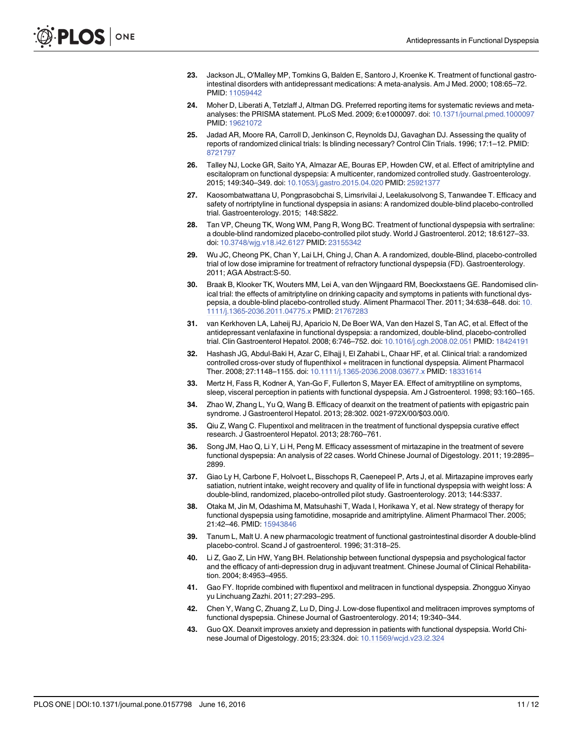- <span id="page-10-0"></span>[23.](#page-1-0) Jackson JL, O'Malley MP, Tomkins G, Balden E, Santoro J, Kroenke K. Treatment of functional gastrointestinal disorders with antidepressant medications: A meta-analysis. Am J Med. 2000; 108:65–72. PMID: [11059442](http://www.ncbi.nlm.nih.gov/pubmed/11059442)
- [24.](#page-1-0) Moher D, Liberati A, Tetzlaff J, Altman DG. Preferred reporting items for systematic reviews and metaanalyses: the PRISMA statement. PLoS Med. 2009; 6:e1000097. doi: [10.1371/journal.pmed.1000097](http://dx.doi.org/10.1371/journal.pmed.1000097) PMID: [19621072](http://www.ncbi.nlm.nih.gov/pubmed/19621072)
- [25.](#page-2-0) Jadad AR, Moore RA, Carroll D, Jenkinson C, Reynolds DJ, Gavaghan DJ. Assessing the quality of reports of randomized clinical trials: Is blinding necessary? Control Clin Trials. 1996; 17:1–12. PMID: [8721797](http://www.ncbi.nlm.nih.gov/pubmed/8721797)
- [26.](#page-2-0) Talley NJ, Locke GR, Saito YA, Almazar AE, Bouras EP, Howden CW, et al. Effect of amitriptyline and escitalopram on functional dyspepsia: A multicenter, randomized controlled study. Gastroenterology. 2015; 149:340–349. doi: [10.1053/j.gastro.2015.04.020](http://dx.doi.org/10.1053/j.gastro.2015.04.020) PMID: [25921377](http://www.ncbi.nlm.nih.gov/pubmed/25921377)
- [27.](#page-3-0) Kaosombatwattana U, Pongprasobchai S, Limsrivilai J, Leelakusolvong S, Tanwandee T. Efficacy and safety of nortriptyline in functional dyspepsia in asians: A randomized double-blind placebo-controlled trial. Gastroenterology. 2015; 148:S822.
- [28.](#page-3-0) Tan VP, Cheung TK, Wong WM, Pang R, Wong BC. Treatment of functional dyspepsia with sertraline: a double-blind randomized placebo-controlled pilot study. World J Gastroenterol. 2012; 18:6127–33. doi: [10.3748/wjg.v18.i42.6127](http://dx.doi.org/10.3748/wjg.v18.i42.6127) PMID: [23155342](http://www.ncbi.nlm.nih.gov/pubmed/23155342)
- [29.](#page-3-0) Wu JC, Cheong PK, Chan Y, Lai LH, Ching J, Chan A. A randomized, double-Blind, placebo-controlled trial of low dose imipramine for treatment of refractory functional dyspepsia (FD). Gastroenterology. 2011; AGA Abstract:S-50.
- [30.](#page-3-0) Braak B, Klooker TK, Wouters MM, Lei A, van den Wijngaard RM, Boeckxstaens GE. Randomised clinical trial: the effects of amitriptyline on drinking capacity and symptoms in patients with functional dyspepsia, a double-blind placebo-controlled study. Aliment Pharmacol Ther. 2011; 34:638–648. doi: [10.](http://dx.doi.org/10.1111/j.1365-2036.2011.04775.x) [1111/j.1365-2036.2011.04775.x](http://dx.doi.org/10.1111/j.1365-2036.2011.04775.x) PMID: [21767283](http://www.ncbi.nlm.nih.gov/pubmed/21767283)
- [31.](#page-3-0) van Kerkhoven LA, Laheij RJ, Aparicio N, De Boer WA, Van den Hazel S, Tan AC, et al. Effect of the antidepressant venlafaxine in functional dyspepsia: a randomized, double-blind, placebo-controlled trial. Clin Gastroenterol Hepatol. 2008; 6:746–752. doi: [10.1016/j.cgh.2008.02.051](http://dx.doi.org/10.1016/j.cgh.2008.02.051) PMID: [18424191](http://www.ncbi.nlm.nih.gov/pubmed/18424191)
- [32.](#page-4-0) Hashash JG, Abdul-Baki H, Azar C, Elhajj I, El Zahabi L, Chaar HF, et al. Clinical trial: a randomized controlled cross-over study of flupenthixol + melitracen in functional dyspepsia. Aliment Pharmacol Ther. 2008; 27:1148-1155. doi: [10.1111/j.1365-2036.2008.03677.x](http://dx.doi.org/10.1111/j.1365-2036.2008.03677.x) PMID: [18331614](http://www.ncbi.nlm.nih.gov/pubmed/18331614)
- [33.](#page-3-0) Mertz H, Fass R, Kodner A, Yan-Go F, Fullerton S, Mayer EA. Effect of amitryptiline on symptoms, sleep, visceral perception in patients with functional dyspepsia. Am J Gstroenterol. 1998; 93:160–165.
- 34. Zhao W, Zhang L, Yu Q, Wang B. Efficacy of deanxit on the treatment of patients with epigastric pain syndrome. J Gastroenterol Hepatol. 2013; 28:302. 0021-972X/00/\$03.00/0.
- 35. Qiu Z, Wang C. Flupentixol and melitracen in the treatment of functional dyspepsia curative effect research. J Gastroenterol Hepatol. 2013; 28:760–761.
- 36. Song JM, Hao Q, Li Y, Li H, Peng M. Efficacy assessment of mirtazapine in the treatment of severe functional dyspepsia: An analysis of 22 cases. World Chinese Journal of Digestology. 2011; 19:2895– 2899.
- 37. Giao Ly H, Carbone F, Holvoet L, Bisschops R, Caenepeel P, Arts J, et al. Mirtazapine improves early satiation, nutrient intake, weight recovery and quality of life in functional dyspepsia with weight loss: A double-blind, randomized, placebo-ontrolled pilot study. Gastroenterology. 2013; 144:S337.
- 38. Otaka M, Jin M, Odashima M, Matsuhashi T, Wada I, Horikawa Y, et al. New strategy of therapy for functional dyspepsia using famotidine, mosapride and amitriptyline. Aliment Pharmacol Ther. 2005; 21:42–46. PMID: [15943846](http://www.ncbi.nlm.nih.gov/pubmed/15943846)
- 39. Tanum L, Malt U. A new pharmacologic treatment of functional gastrointestinal disorder A double-blind placebo-control. Scand J of gastroenterol. 1996; 31:318–25.
- 40. Li Z, Gao Z, Lin HW, Yang BH. Relationship between functional dyspepsia and psychological factor and the efficacy of anti-depression drug in adjuvant treatment. Chinese Journal of Clinical Rehabilitation. 2004; 8:4953–4955.
- 41. Gao FY. Itopride combined with flupentixol and melitracen in functional dyspepsia. Zhongguo Xinyao yu Linchuang Zazhi. 2011; 27:293–295.
- 42. Chen Y, Wang C, Zhuang Z, Lu D, Ding J. Low-dose flupentixol and melitracen improves symptoms of functional dyspepsia. Chinese Journal of Gastroenterology. 2014; 19:340–344.
- [43.](#page-2-0) Guo QX. Deanxit improves anxiety and depression in patients with functional dyspepsia. World Chinese Journal of Digestology. 2015; 23:324. doi: [10.11569/wcjd.v23.i2.324](http://dx.doi.org/10.11569/wcjd.v23.i2.324)